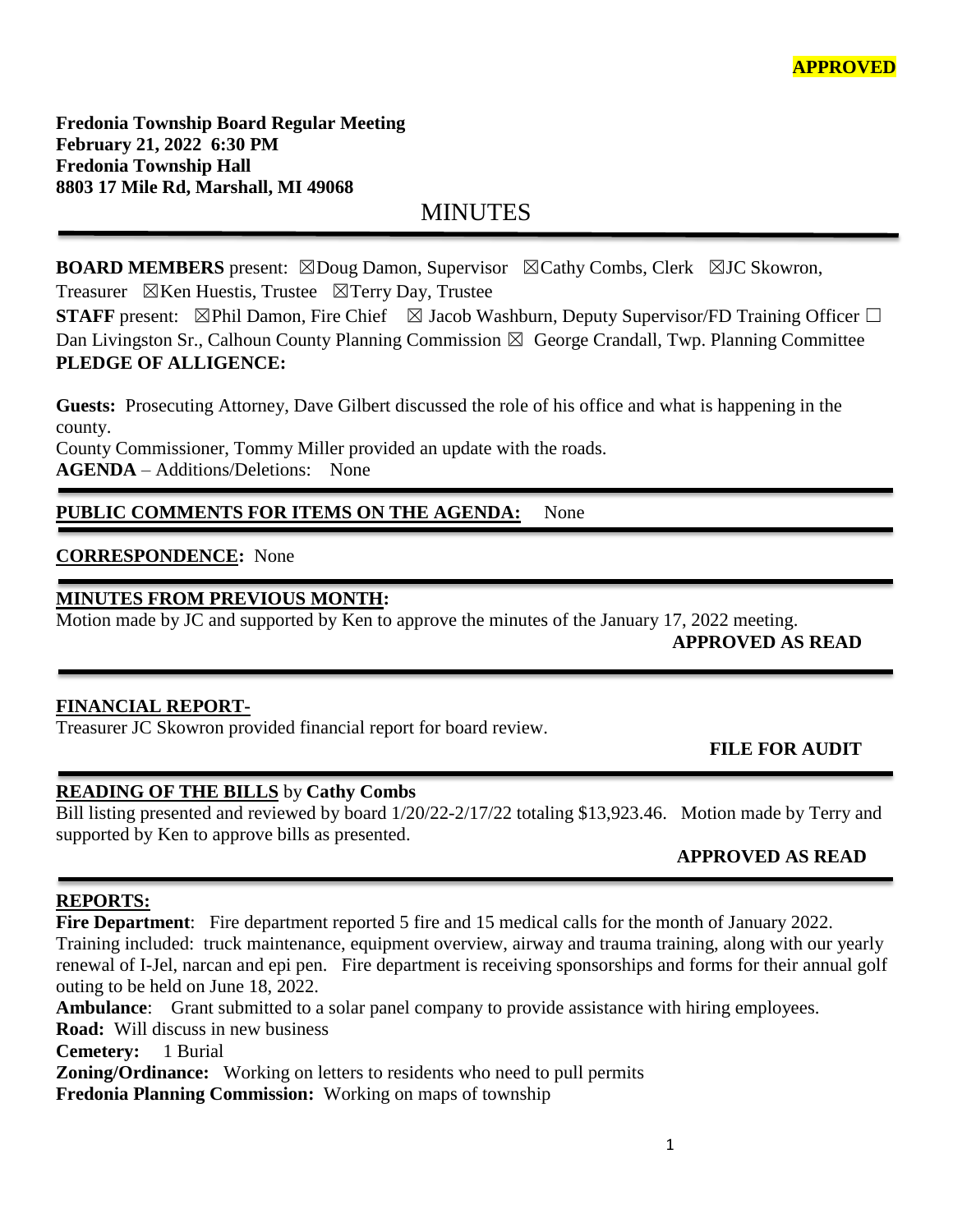**Fredonia Township Board Regular Meeting February 21, 2022 6:30 PM Fredonia Township Hall 8803 17 Mile Rd, Marshall, MI 49068**

MINUTES

**BOARD MEMBERS** present: ⊠Doug Damon, Supervisor ⊠Cathy Combs, Clerk ⊠JC Skowron, Treasurer  $\boxtimes$ Ken Huestis, Trustee  $\boxtimes$ Terry Day, Trustee

**STAFF** present: ⊠Phil Damon, Fire Chief ⊠ Jacob Washburn, Deputy Supervisor/FD Training Officer □ Dan Livingston Sr., Calhoun County Planning Commission  $\boxtimes$  George Crandall, Twp. Planning Committee **PLEDGE OF ALLIGENCE:**

**Guests:** Prosecuting Attorney, Dave Gilbert discussed the role of his office and what is happening in the county.

County Commissioner, Tommy Miller provided an update with the roads. **AGENDA** – Additions/Deletions: None

# PUBLIC COMMENTS FOR ITEMS ON THE AGENDA: None

# **CORRESPONDENCE:** None

#### **MINUTES FROM PREVIOUS MONTH:**

Motion made by JC and supported by Ken to approve the minutes of the January 17, 2022 meeting.

֦

**APPROVED AS READ**

## **FINANCIAL REPORT-**

Treasurer JC Skowron provided financial report for board review.

## **FILE FOR AUDIT**

## **READING OF THE BILLS** by **Cathy Combs**

Bill listing presented and reviewed by board 1/20/22-2/17/22 totaling \$13,923.46. Motion made by Terry and supported by Ken to approve bills as presented.

## **APPROVED AS READ**

#### **REPORTS:**

**Fire Department**: Fire department reported 5 fire and 15 medical calls for the month of January 2022. Training included: truck maintenance, equipment overview, airway and trauma training, along with our yearly renewal of I-Jel, narcan and epi pen. Fire department is receiving sponsorships and forms for their annual golf outing to be held on June 18, 2022.

**Ambulance**: Grant submitted to a solar panel company to provide assistance with hiring employees.

**Road:** Will discuss in new business

**Cemetery:** 1 Burial

**Zoning/Ordinance:** Working on letters to residents who need to pull permits

**Fredonia Planning Commission:** Working on maps of township